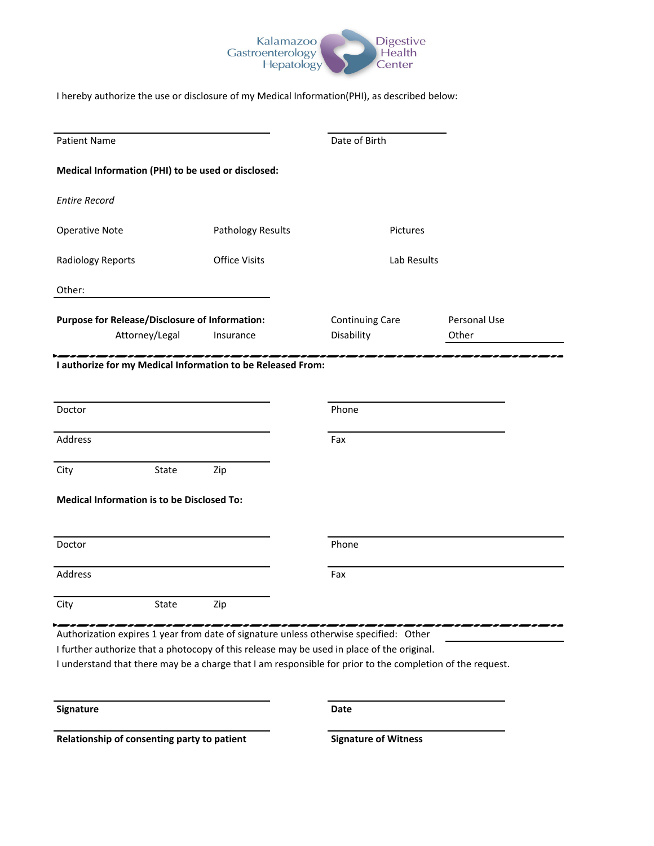

I hereby authorize the use or disclosure of my Medical Information(PHI), as described below:

| <b>Patient Name</b>                                                                   |                   | Date of Birth                        |                       |
|---------------------------------------------------------------------------------------|-------------------|--------------------------------------|-----------------------|
| Medical Information (PHI) to be used or disclosed:                                    |                   |                                      |                       |
| <b>Entire Record</b>                                                                  |                   |                                      |                       |
| <b>Operative Note</b>                                                                 | Pathology Results | Pictures                             |                       |
| Radiology Reports                                                                     | Office Visits     | Lab Results                          |                       |
| Other:                                                                                |                   |                                      |                       |
| Purpose for Release/Disclosure of Information:<br>Attorney/Legal                      | Insurance         | <b>Continuing Care</b><br>Disability | Personal Use<br>Other |
| I authorize for my Medical Information to be Released From:                           |                   |                                      |                       |
| Doctor                                                                                |                   | Phone                                |                       |
| Address                                                                               |                   | Fax                                  |                       |
| State<br>City                                                                         | Zip               |                                      |                       |
| <b>Medical Information is to be Disclosed To:</b>                                     |                   |                                      |                       |
| Doctor                                                                                |                   | Phone                                |                       |
| Address                                                                               |                   | Fax                                  |                       |
| City<br>State                                                                         | Zip               |                                      |                       |
| Authorization expires 1 year from date of signature unless otherwise specified: Other |                   |                                      |                       |

I further authorize that a photocopy of this release may be used in place of the original.

I understand that there may be a charge that I am responsible for prior to the completion of the request.

Signature Date Date Date Date Date

Relationship of consenting party to patient Signature of Witness